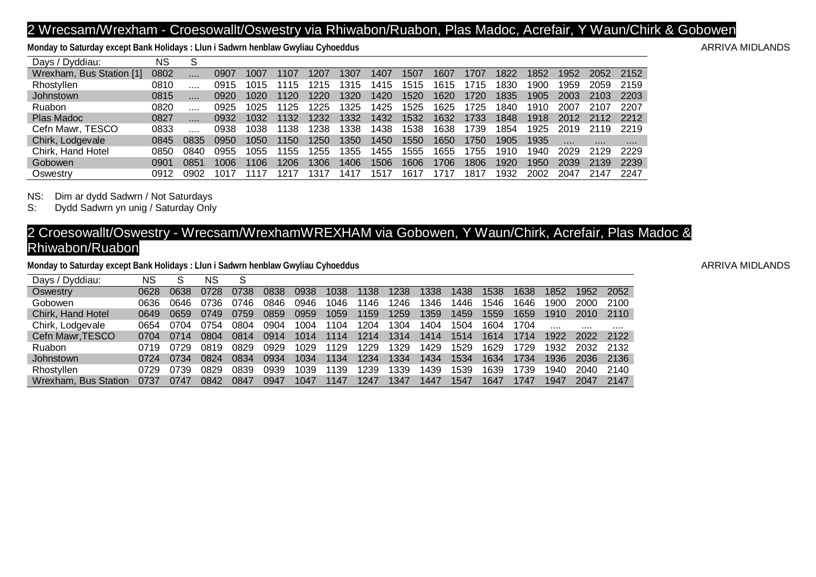## 2 Wrecsam/Wrexham - Croesowallt/Oswestry via Rhiwabon/Ruabon, Plas Madoc, Acrefair, Y Waun/Chirk & Gobowen

Monday to Saturday except Bank Holidays : Llun i Sadwrn henblaw Gwyliau Cyhoeddus **ARRIVA MIDLANDS** ARRIVA MIDLANDS

| Days / Dyddiau:          | NS   |       |      |      |      |      |      |      |      |      |      |      |      |      |      |      |
|--------------------------|------|-------|------|------|------|------|------|------|------|------|------|------|------|------|------|------|
| Wrexham, Bus Station [1] | 0802 | 1.1.1 | 0907 | 1007 | 1107 | 1207 | 1307 | 1407 | 1507 | 1607 | 1707 | 1822 | 1852 | 1952 | 2052 | 2152 |
| Rhostyllen               | 0810 |       | 0915 | 015  | 1115 | 1215 | 1315 | 1415 | 1515 | 1615 | 1715 | 1830 | 900  | 1959 | 2059 | 2159 |
| Johnstown                | 0815 | 1.1.1 | 0920 | 1020 | 1120 | 1220 | 1320 | 1420 | 1520 | 1620 | 1720 | 1835 | 1905 | 2003 | 2103 | 2203 |
| <b>Ruabon</b>            | 0820 |       | 0925 | 1025 | 1125 | 1225 | 1325 | 1425 | 1525 | 1625 | 1725 | 1840 | 1910 | 2007 | 2107 | 2207 |
| Plas Madoc               | 0827 | 1.1.1 | 0932 | 1032 | 1132 | 1232 | 1332 | 1432 | 1532 | 1632 | 1733 | 1848 | 1918 | 2012 |      | 2212 |
| Cefn Mawr, TESCO         | 0833 |       | 0938 | 038  | 1138 | 1238 | 1338 | 1438 | 1538 | 1638 | 1739 | 1854 | 1925 | 2019 | 2119 | 2219 |
| Chirk, Lodgevale         | 0845 | 0835  | 0950 | 1050 | 1150 | 1250 | 1350 | 1450 | 1550 | 1650 | 750  | 1905 | 1935 | .    | .    |      |
| Chirk, Hand Hotel        | 0850 | 084C  | 0955 | 055  | 1155 | 1255 | 1355 | 1455 | 1555 | 1655 | 1755 | 1910 | 940  | 2029 | 2129 | 2229 |
| Gobowen                  | 0901 | 0851  | 1006 | 106  | 1206 | 1306 | 1406 | 1506 | 1606 | 1706 | 1806 | 1920 | 1950 | 2039 | 2139 | 2239 |
| Oswestry                 | 0912 | 0902  | .017 |      |      | .31  | 141  | 517  | 161  | 171, | 1817 | '932 | 2002 | 2047 | 2147 | 2247 |

NS: Dim ar dydd Sadwrn / Not Saturdays<br>S: Dydd Sadwrn yn unig / Saturday Only

Dydd Sadwrn yn unig / Saturday Only

## 2 Croesowallt/Oswestry - Wrecsam/WrexhamWREXHAM via Gobowen, Y Waun/Chirk, Acrefair, Plas Madoc & Rhiwabon/Ruabon

Monday to Saturday except Bank Holidays : Llun i Sadwrn henblaw Gwyliau Cyhoeddus **ARRIVA MIDLANDS** ARRIVA MIDLANDS

| Days / Dyddiau:                | NS   | c    | NS   |      |      |      |      |      |      |      |      |      |      |      |      |      |
|--------------------------------|------|------|------|------|------|------|------|------|------|------|------|------|------|------|------|------|
| Oswestry                       | 0628 | 0638 | 0728 | 0738 | 0838 | 0938 | 1038 | 1138 | 1238 | 1338 | 1438 | 1538 | 1638 | 1852 | 1952 | 2052 |
| Gobowen                        | 0636 | 0646 | 0736 | 0746 | 0846 | 0946 | 1046 | 1146 | 1246 | 346  | 1446 | 1546 | 1646 | 1900 | 2000 | 2100 |
| Chirk, Hand Hotel              | 0649 | 0659 | 0749 | 0759 | 0859 | 0959 | 1059 | 1159 | 1259 | 1359 | 1459 | 1559 | 1659 | 1910 | 2010 | 2110 |
| Chirk, Lodgevale               | 0654 | 0704 | 0754 | 0804 | 0904 | 1004 | 1104 | 1204 | 1304 | 1404 | 1504 | 1604 | 1704 |      | .    |      |
| Cefn Mawr, TESCO               | 0704 | 0714 | 0804 | 0814 | 0914 | 1014 | 1114 | 1214 | 1314 | 1414 | 1514 | 1614 | 1714 | 1922 | 2022 | 2122 |
| <b>Ruabon</b>                  | 0719 | 0729 | 0819 | 0829 | 0929 | 1029 | 1129 | 1229 | 1329 | 1429 | 1529 | 1629 | 1729 | 1932 | 2032 | 2132 |
| Johnstown                      | 0724 | 0734 | 0824 | 0834 | 0934 | 1034 | 1134 | 1234 | 1334 | 1434 | 1534 | 1634 | 1734 | 1936 | 2036 | 2136 |
| Rhostyllen                     | 0729 | 0739 | 0829 | 0839 | 0939 | 1039 | 1139 | 1239 | 339  | 439  | 1539 | 1639 | 1739 | 1940 | 2040 | 2140 |
| Wrexham.<br><b>Bus Station</b> | 0737 | 0747 | 0842 | 0847 | 0947 | 1047 | 1147 | 1247 | 1347 | 1447 | 1547 | 1647 | 1747 | 1947 | 2047 | 2147 |